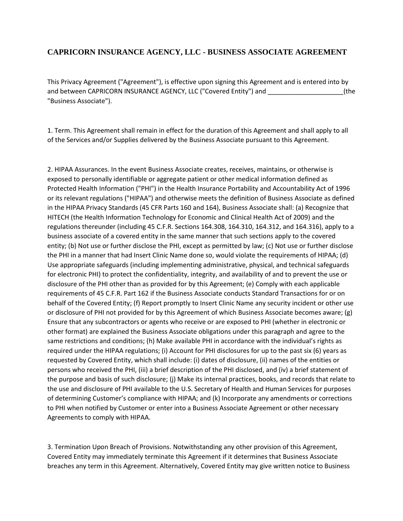## **CAPRICORN INSURANCE AGENCY, LLC - BUSINESS ASSOCIATE AGREEMENT**

This Privacy Agreement ("Agreement"), is effective upon signing this Agreement and is entered into by and between CAPRICORN INSURANCE AGENCY, LLC ("Covered Entity") and  $($  the "Business Associate").

1. Term. This Agreement shall remain in effect for the duration of this Agreement and shall apply to all of the Services and/or Supplies delivered by the Business Associate pursuant to this Agreement.

2. HIPAA Assurances. In the event Business Associate creates, receives, maintains, or otherwise is exposed to personally identifiable or aggregate patient or other medical information defined as Protected Health Information ("PHI") in the Health Insurance Portability and Accountability Act of 1996 or its relevant regulations ("HIPAA") and otherwise meets the definition of Business Associate as defined in the HIPAA Privacy Standards (45 CFR Parts 160 and 164), Business Associate shall: (a) Recognize that HITECH (the Health Information Technology for Economic and Clinical Health Act of 2009) and the regulations thereunder (including 45 C.F.R. Sections 164.308, 164.310, 164.312, and 164.316), apply to a business associate of a covered entity in the same manner that such sections apply to the covered entity; (b) Not use or further disclose the PHI, except as permitted by law; (c) Not use or further disclose the PHI in a manner that had Insert Clinic Name done so, would violate the requirements of HIPAA; (d) Use appropriate safeguards (including implementing administrative, physical, and technical safeguards for electronic PHI) to protect the confidentiality, integrity, and availability of and to prevent the use or disclosure of the PHI other than as provided for by this Agreement; (e) Comply with each applicable requirements of 45 C.F.R. Part 162 if the Business Associate conducts Standard Transactions for or on behalf of the Covered Entity; (f) Report promptly to Insert Clinic Name any security incident or other use or disclosure of PHI not provided for by this Agreement of which Business Associate becomes aware; (g) Ensure that any subcontractors or agents who receive or are exposed to PHI (whether in electronic or other format) are explained the Business Associate obligations under this paragraph and agree to the same restrictions and conditions; (h) Make available PHI in accordance with the individual's rights as required under the HIPAA regulations; (i) Account for PHI disclosures for up to the past six (6) years as requested by Covered Entity, which shall include: (i) dates of disclosure, (ii) names of the entities or persons who received the PHI, (iii) a brief description of the PHI disclosed, and (iv) a brief statement of the purpose and basis of such disclosure; (j) Make its internal practices, books, and records that relate to the use and disclosure of PHI available to the U.S. Secretary of Health and Human Services for purposes of determining Customer's compliance with HIPAA; and (k) Incorporate any amendments or corrections to PHI when notified by Customer or enter into a Business Associate Agreement or other necessary Agreements to comply with HIPAA.

3. Termination Upon Breach of Provisions. Notwithstanding any other provision of this Agreement, Covered Entity may immediately terminate this Agreement if it determines that Business Associate breaches any term in this Agreement. Alternatively, Covered Entity may give written notice to Business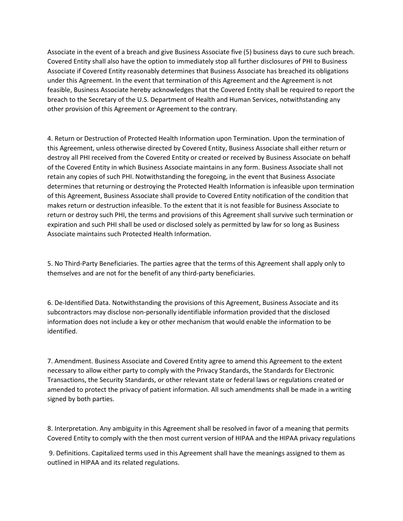Associate in the event of a breach and give Business Associate five (5) business days to cure such breach. Covered Entity shall also have the option to immediately stop all further disclosures of PHI to Business Associate if Covered Entity reasonably determines that Business Associate has breached its obligations under this Agreement. In the event that termination of this Agreement and the Agreement is not feasible, Business Associate hereby acknowledges that the Covered Entity shall be required to report the breach to the Secretary of the U.S. Department of Health and Human Services, notwithstanding any other provision of this Agreement or Agreement to the contrary.

4. Return or Destruction of Protected Health Information upon Termination. Upon the termination of this Agreement, unless otherwise directed by Covered Entity, Business Associate shall either return or destroy all PHI received from the Covered Entity or created or received by Business Associate on behalf of the Covered Entity in which Business Associate maintains in any form. Business Associate shall not retain any copies of such PHI. Notwithstanding the foregoing, in the event that Business Associate determines that returning or destroying the Protected Health Information is infeasible upon termination of this Agreement, Business Associate shall provide to Covered Entity notification of the condition that makes return or destruction infeasible. To the extent that it is not feasible for Business Associate to return or destroy such PHI, the terms and provisions of this Agreement shall survive such termination or expiration and such PHI shall be used or disclosed solely as permitted by law for so long as Business Associate maintains such Protected Health Information.

5. No Third-Party Beneficiaries. The parties agree that the terms of this Agreement shall apply only to themselves and are not for the benefit of any third-party beneficiaries.

6. De-Identified Data. Notwithstanding the provisions of this Agreement, Business Associate and its subcontractors may disclose non-personally identifiable information provided that the disclosed information does not include a key or other mechanism that would enable the information to be identified.

7. Amendment. Business Associate and Covered Entity agree to amend this Agreement to the extent necessary to allow either party to comply with the Privacy Standards, the Standards for Electronic Transactions, the Security Standards, or other relevant state or federal laws or regulations created or amended to protect the privacy of patient information. All such amendments shall be made in a writing signed by both parties.

8. Interpretation. Any ambiguity in this Agreement shall be resolved in favor of a meaning that permits Covered Entity to comply with the then most current version of HIPAA and the HIPAA privacy regulations

9. Definitions. Capitalized terms used in this Agreement shall have the meanings assigned to them as outlined in HIPAA and its related regulations.